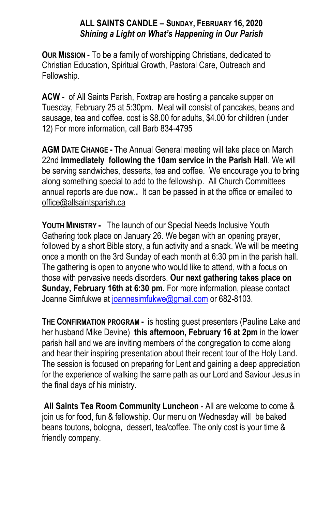## **ALL SAINTS CANDLE – SUNDAY, FEBRUARY 16, 2020** *Shining a Light on What's Happening in Our Parish*

**OUR MISSION -** To be a family of worshipping Christians, dedicated to Christian Education, Spiritual Growth, Pastoral Care, Outreach and Fellowship.

**ACW -** of All Saints Parish, Foxtrap are hosting a pancake supper on Tuesday, February 25 at 5:30pm. Meal will consist of pancakes, beans and sausage, tea and coffee. cost is \$8.00 for adults, \$4.00 for children (under 12) For more information, call Barb 834-4795

**AGM DATE CHANGE -** The Annual General meeting will take place on March 22nd **immediately following the 10am service in the Parish Hall**. We will be serving sandwiches, desserts, tea and coffee. We encourage you to bring along something special to add to the fellowship. All Church Committees annual reports are due now.**.** It can be passed in at the office or emailed to office@allsaintsparish.ca

**YOUTH MINISTRY -** The launch of our Special Needs Inclusive Youth Gathering took place on January 26. We began with an opening prayer, followed by a short Bible story, a fun activity and a snack. We will be meeting once a month on the 3rd Sunday of each month at 6:30 pm in the parish hall. The gathering is open to anyone who would like to attend, with a focus on those with pervasive needs disorders. **Our next gathering takes place on Sunday, February 16th at 6:30 pm.** For more information, please contact Joanne Simfukwe at [joannesimfukwe@gmail.com](mailto:joannesimfukwe@gmail.com) or 682-8103.

**THE CONFIRMATION PROGRAM -** is hosting guest presenters (Pauline Lake and her husband Mike Devine) **this afternoon, February 16 at 2pm** in the lower parish hall and we are inviting members of the congregation to come along and hear their inspiring presentation about their recent tour of the Holy Land. The session is focused on preparing for Lent and gaining a deep appreciation for the experience of walking the same path as our Lord and Saviour Jesus in the final days of his ministry.

**All Saints Tea Room Community Luncheon** - All are welcome to come & join us for food, fun & fellowship. Our menu on Wednesday will be baked beans toutons, bologna, dessert, tea/coffee. The only cost is your time & friendly company.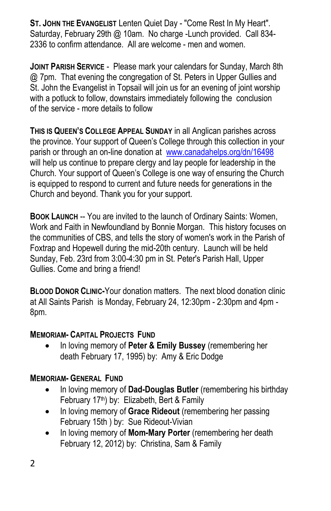**ST. JOHN THE EVANGELIST** Lenten Quiet Day - "Come Rest In My Heart". Saturday, February 29th @ 10am. No charge -Lunch provided. Call 834-2336 to confirm attendance. All are welcome - men and women.

**JOINT PARISH SERVICE** - Please mark your calendars for Sunday, March 8th @ 7pm. That evening the congregation of St. Peters in Upper Gullies and St. John the Evangelist in Topsail will join us for an evening of joint worship with a potluck to follow, downstairs immediately following the conclusion of the service - more details to follow

**THIS IS QUEEN'S COLLEGE APPEAL SUNDAY** in all Anglican parishes across the province. Your support of Queen's College through this collection in your parish or through an on-line donation at [www.canadahelps.org/dn/16498](https://www.canadahelps.org/dn/16498) will help us continue to prepare clergy and lay people for leadership in the Church. Your support of Queen's College is one way of ensuring the Church is equipped to respond to current and future needs for generations in the Church and beyond. Thank you for your support.

**BOOK LAUNCH** -- You are invited to the launch of Ordinary Saints: Women, Work and Faith in Newfoundland by Bonnie Morgan. This history focuses on the communities of CBS, and tells the story of women's work in the Parish of Foxtrap and Hopewell during the mid-20th century. Launch will be held Sunday, Feb. 23rd from 3:00-4:30 pm in St. Peter's Parish Hall, Upper Gullies. Come and bring a friend!

**BLOOD DONOR CLINIC-**Your donation matters. The next blood donation clinic at All Saints Parish is Monday, February 24, 12:30pm - 2:30pm and 4pm - 8pm.

## **MEMORIAM- CAPITAL PROJECTS FUND**

 In loving memory of **Peter & Emily Bussey** (remembering her death February 17, 1995) by: Amy & Eric Dodge

## **MEMORIAM- GENERAL FUND**

- In loving memory of **Dad-Douglas Butler** (remembering his birthday February 17<sup>th</sup>) by: Elizabeth, Bert & Family
- In loving memory of **Grace Rideout** (remembering her passing February 15th ) by: Sue Rideout-Vivian
- In loving memory of **Mom-Mary Porter** (remembering her death February 12, 2012) by: Christina, Sam & Family